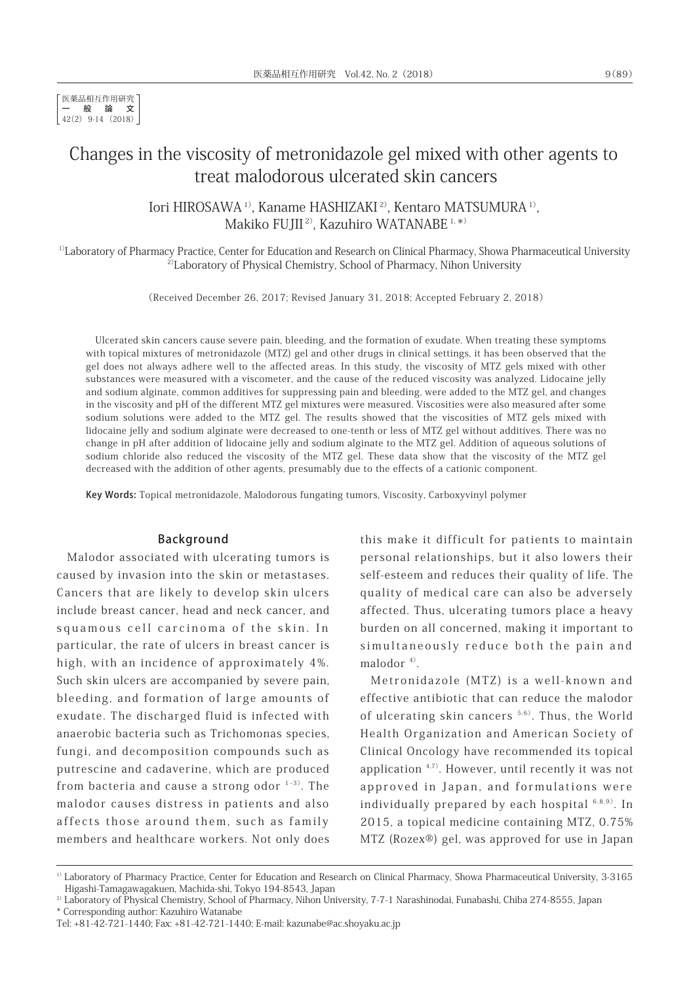医薬品相互作用研究 一般論文 42(2) 9-14 (2018)

# Changes in the viscosity of metronidazole gel mixed with other agents to treat malodorous ulcerated skin cancers

Iori HIROSAWA 1), Kaname HASHIZAKI 2), Kentaro MATSUMURA 1), Makiko FUJII<sup>2)</sup>, Kazuhiro WATANABE<sup>1,\*)</sup>

1)Laboratory of Pharmacy Practice, Center for Education and Research on Clinical Pharmacy, Showa Pharmaceutical University <sup>2)</sup>Laboratory of Physical Chemistry, School of Pharmacy, Nihon University

(Received December 26, 2017; Revised January 31, 2018; Accepted February 2, 2018)

Ulcerated skin cancers cause severe pain, bleeding, and the formation of exudate. When treating these symptoms with topical mixtures of metronidazole (MTZ) gel and other drugs in clinical settings, it has been observed that the gel does not always adhere well to the affected areas. In this study, the viscosity of MTZ gels mixed with other substances were measured with a viscometer, and the cause of the reduced viscosity was analyzed. Lidocaine jelly and sodium alginate, common additives for suppressing pain and bleeding, were added to the MTZ gel, and changes in the viscosity and pH of the different MTZ gel mixtures were measured. Viscosities were also measured after some sodium solutions were added to the MTZ gel. The results showed that the viscosities of MTZ gels mixed with lidocaine jelly and sodium alginate were decreased to one-tenth or less of MTZ gel without additives. There was no change in pH after addition of lidocaine jelly and sodium alginate to the MTZ gel. Addition of aqueous solutions of sodium chloride also reduced the viscosity of the MTZ gel. These data show that the viscosity of the MTZ gel decreased with the addition of other agents, presumably due to the effects of a cationic component.

Key Words: Topical metronidazole, Malodorous fungating tumors, Viscosity, Carboxyvinyl polymer

#### Background

Malodor associated with ulcerating tumors is caused by invasion into the skin or metastases. Cancers that are likely to develop skin ulcers include breast cancer, head and neck cancer, and squamous cell carcinoma of the skin. In particular, the rate of ulcers in breast cancer is high, with an incidence of approximately 4%. Such skin ulcers are accompanied by severe pain, bleeding, and formation of large amounts of exudate. The discharged fluid is infected with anaerobic bacteria such as Trichomonas species, fungi, and decomposition compounds such as putrescine and cadaverine, which are produced from bacteria and cause a strong odor  $1-3$ ). The malodor causes distress in patients and also affects those around them, such as family members and healthcare workers. Not only does

this make it difficult for patients to maintain personal relationships, but it also lowers their self-esteem and reduces their quality of life. The quality of medical care can also be adversely affected. Thus, ulcerating tumors place a heavy burden on all concerned, making it important to simultaneously reduce both the pain and malodor $4$ <sup>4)</sup>.

Metronidazole (MTZ) is a well-known and effective antibiotic that can reduce the malodor of ulcerating skin cancers<sup>5,6)</sup>. Thus, the World Health Organization and American Society of Clinical Oncology have recommended its topical application 4,7). However, until recently it was not approved in Japan, and formulations were individually prepared by each hospital  $6,8,9$ ). In 2015, a topical medicine containing MTZ, 0.75% MTZ (Rozex®) gel, was approved for use in Japan

<sup>&</sup>lt;sup>1)</sup> Laboratory of Pharmacy Practice, Center for Education and Research on Clinical Pharmacy, Showa Pharmaceutical University, 3-3165 Higashi-Tamagawagakuen, Machida-shi, Tokyo 194-8543, Japan

<sup>&</sup>lt;sup>2)</sup> Laboratory of Physical Chemistry, School of Pharmacy, Nihon University, 7-7-1 Narashinodai, Funabashi, Chiba 274-8555, Japan \* Corresponding author: Kazuhiro Watanabe

Tel: +81-42-721-1440; Fax: +81-42-721-1440; E-mail: kazunabe@ac.shoyaku.ac.jp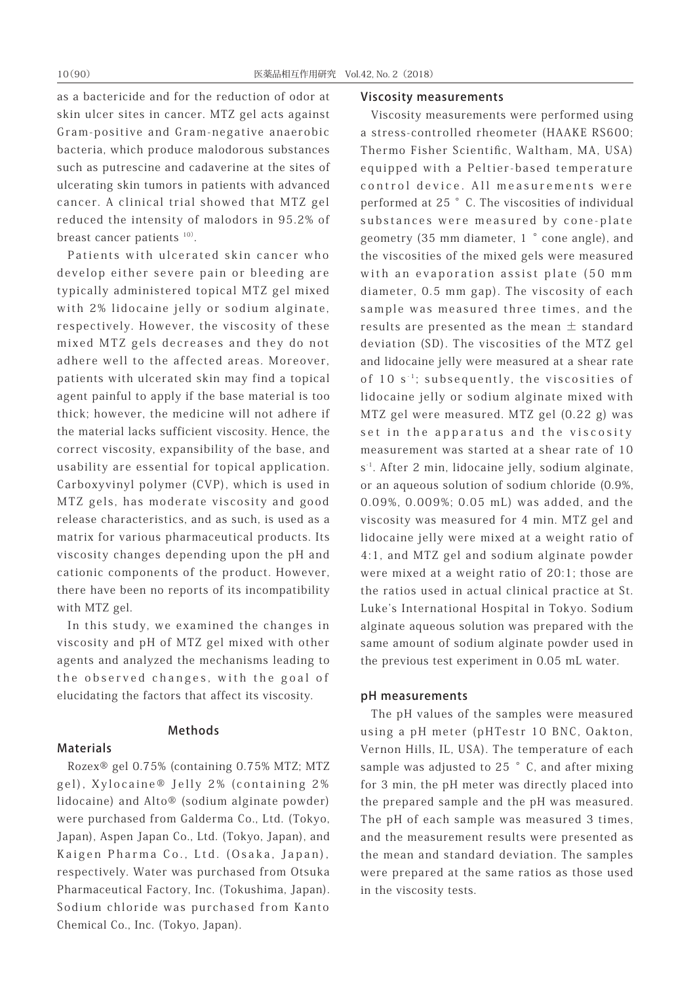as a bactericide and for the reduction of odor at skin ulcer sites in cancer. MTZ gel acts against Gram-positive and Gram-negative anaerobic bacteria, which produce malodorous substances such as putrescine and cadaverine at the sites of ulcerating skin tumors in patients with advanced cancer. A clinical trial showed that MTZ gel reduced the intensity of malodors in 95.2% of breast cancer patients  $10$ .

Patients with ulcerated skin cancer who develop either severe pain or bleeding are typically administered topical MTZ gel mixed with 2% lidocaine jelly or sodium alginate, respectively. However, the viscosity of these mixed MTZ gels decreases and they do not adhere well to the affected areas. Moreover, patients with ulcerated skin may find a topical agent painful to apply if the base material is too thick; however, the medicine will not adhere if the material lacks sufficient viscosity. Hence, the correct viscosity, expansibility of the base, and usability are essential for topical application. Carboxyvinyl polymer (CVP), which is used in MTZ gels, has moderate viscosity and good release characteristics, and as such, is used as a matrix for various pharmaceutical products. Its viscosity changes depending upon the pH and cationic components of the product. However, there have been no reports of its incompatibility with MTZ gel.

In this study, we examined the changes in viscosity and pH of MTZ gel mixed with other agents and analyzed the mechanisms leading to the observed changes, with the goal of elucidating the factors that affect its viscosity.

Methods

#### Materials

Rozex® gel 0.75% (containing 0.75% MTZ; MTZ gel), Xylocaine® Jelly 2% (containing 2% lidocaine) and Alto® (sodium alginate powder) were purchased from Galderma Co., Ltd. (Tokyo, Japan), Aspen Japan Co., Ltd. (Tokyo, Japan), and Kaigen Pharma Co., Ltd. (Osaka, Japan), respectively. Water was purchased from Otsuka Pharmaceutical Factory, Inc. (Tokushima, Japan). Sodium chloride was purchased from Kanto Chemical Co., Inc. (Tokyo, Japan).

#### Viscosity measurements

Viscosity measurements were performed using a stress-controlled rheometer (HAAKE RS600; Thermo Fisher Scientific, Waltham, MA, USA) equipped with a Peltier-based temperature control device. All measurements were performed at 25 °C. The viscosities of individual substances were measured by cone-plate geometry (35 mm diameter, 1 ° cone angle), and the viscosities of the mixed gels were measured with an evaporation assist plate (50 mm diameter, 0.5 mm gap). The viscosity of each sample was measured three times, and the results are presented as the mean  $\pm$  standard deviation (SD). The viscosities of the MTZ gel and lidocaine jelly were measured at a shear rate of  $10 s<sup>-1</sup>$ ; subsequently, the viscosities of lidocaine jelly or sodium alginate mixed with MTZ gel were measured. MTZ gel (0.22 g) was set in the apparatus and the viscosity measurement was started at a shear rate of 10 s<sup>-1</sup>. After 2 min, lidocaine jelly, sodium alginate, or an aqueous solution of sodium chloride (0.9%, 0.09%, 0.009%; 0.05 mL) was added, and the viscosity was measured for 4 min. MTZ gel and lidocaine jelly were mixed at a weight ratio of 4:1, and MTZ gel and sodium alginate powder were mixed at a weight ratio of 20:1; those are the ratios used in actual clinical practice at St. Luke's International Hospital in Tokyo. Sodium alginate aqueous solution was prepared with the same amount of sodium alginate powder used in the previous test experiment in 0.05 mL water.

#### pH measurements

The pH values of the samples were measured using a pH meter (pHTestr 10 BNC, Oakton, Vernon Hills, IL, USA). The temperature of each sample was adjusted to 25  $\degree$  C, and after mixing for 3 min, the pH meter was directly placed into the prepared sample and the pH was measured. The pH of each sample was measured 3 times, and the measurement results were presented as the mean and standard deviation. The samples were prepared at the same ratios as those used in the viscosity tests.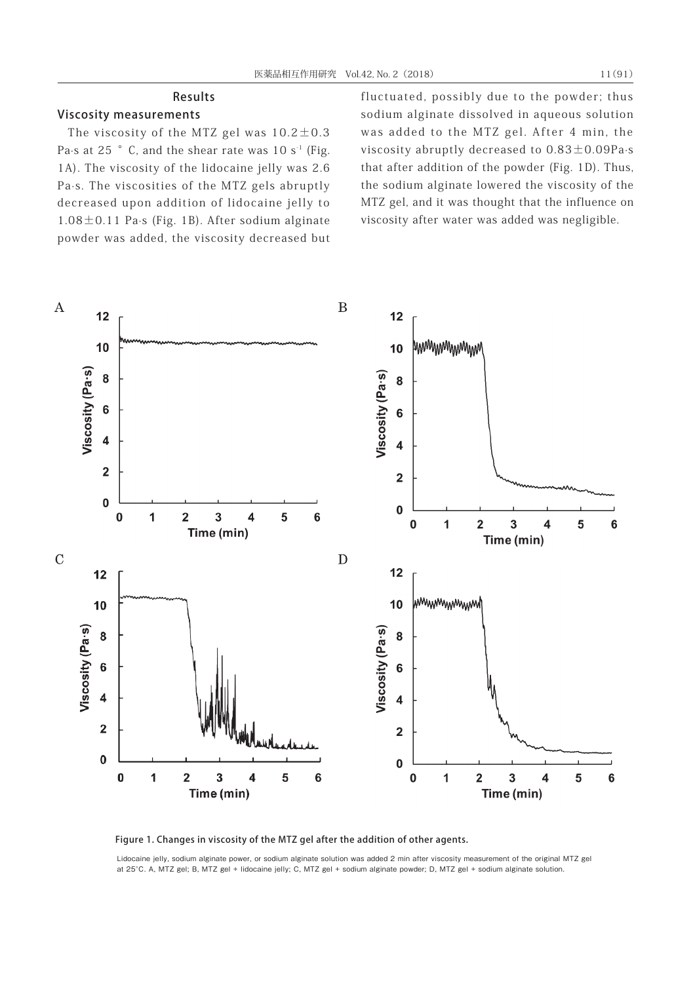## Results

## Viscosity measurements

The viscosity of the MTZ gel was  $10.2 \pm 0.3$ Pa $\cdot$ s at 25  $\degree$  C, and the shear rate was 10 s<sup>-1</sup> (Fig. 1A). The viscosity of the lidocaine jelly was 2.6 Pa·s. The viscosities of the MTZ gels abruptly decreased upon addition of lidocaine jelly to 1.08±0.11 Pa·s (Fig. 1B). After sodium alginate powder was added, the viscosity decreased but fluctuated, possibly due to the powder; thus sodium alginate dissolved in aqueous solution was added to the MTZ gel. After 4 min, the viscosity abruptly decreased to 0.83±0.09Pa·s that after addition of the powder (Fig. 1D). Thus, the sodium alginate lowered the viscosity of the MTZ gel, and it was thought that the influence on viscosity after water was added was negligible.





Lidocaine jelly, sodium alginate power, or sodium alginate solution was added 2 min after viscosity measurement of the original MTZ gel at 25°C. A, MTZ gel; B, MTZ gel + lidocaine jelly; C, MTZ gel + sodium alginate powder; D, MTZ gel + sodium alginate solution.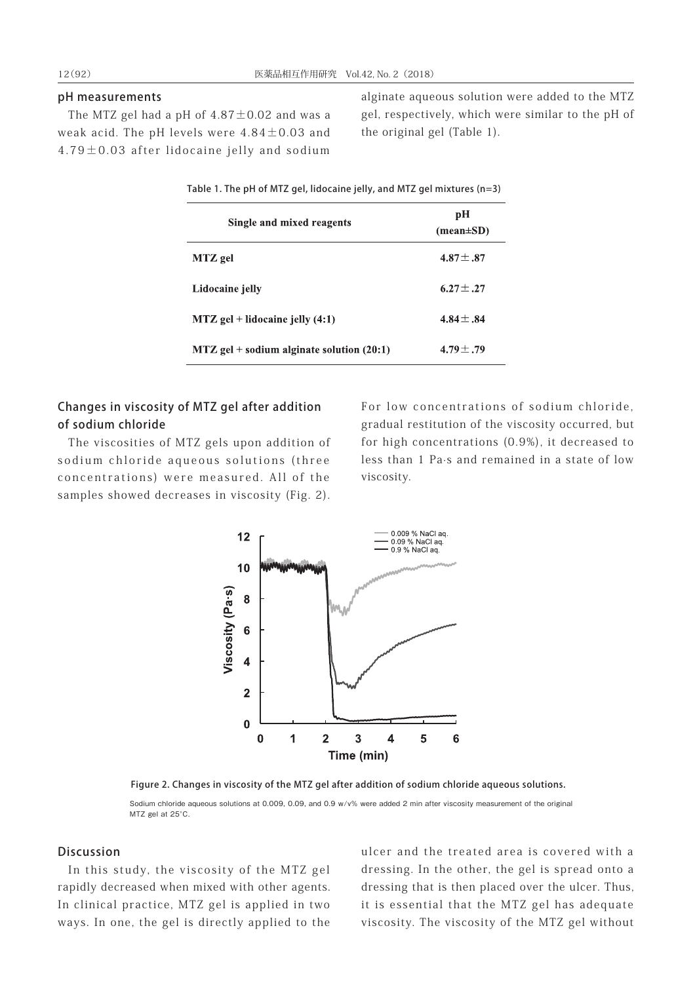### pH measurements

The MTZ gel had a pH of  $4.87 \pm 0.02$  and was a weak acid. The pH levels were  $4.84\pm0.03$  and 4.79±0.03 after lidocaine jelly and sodium

alginate aqueous solution were added to the MTZ gel, respectively, which were similar to the pH of the original gel (Table 1).

| Table 1. The pH of MTZ gel, lidocaine jelly, and MTZ gel mixtures (n=3) |                                     |
|-------------------------------------------------------------------------|-------------------------------------|
| Single and mixed reagents                                               | pH<br>$(\text{mean} \pm \text{SD})$ |
| MTZ gel                                                                 | $4.87 \pm .87$                      |
| Lidocaine jelly                                                         | $6.27 \pm .27$                      |
| $MTZ$ gel + lidocaine jelly $(4:1)$                                     | 4.84 $\pm$ .84                      |
| $MTZ$ gel + sodium alginate solution (20:1)                             | $4.79 \pm .79$                      |

## Changes in viscosity of MTZ gel after addition of sodium chloride

The viscosities of MTZ gels upon addition of sodium chloride aqueous solutions (three concentrations) were measured. All of the samples showed decreases in viscosity (Fig. 2).

For low concentrations of sodium chloride, gradual restitution of the viscosity occurred, but for high concentrations (0.9%), it decreased to less than 1 Pa·s and remained in a state of low viscosity.



Figure 2. Changes in viscosity of the MTZ gel after addition of sodium chloride aqueous solutions.

Sodium chloride aqueous solutions at 0.009, 0.09, and 0.9 w/v% were added 2 min after viscosity measurement of the original MTZ gel at 25°C.

## Discussion

In this study, the viscosity of the MTZ gel rapidly decreased when mixed with other agents. In clinical practice, MTZ gel is applied in two ways. In one, the gel is directly applied to the

ulcer and the treated area is covered with a dressing. In the other, the gel is spread onto a dressing that is then placed over the ulcer. Thus, it is essential that the MTZ gel has adequate viscosity. The viscosity of the MTZ gel without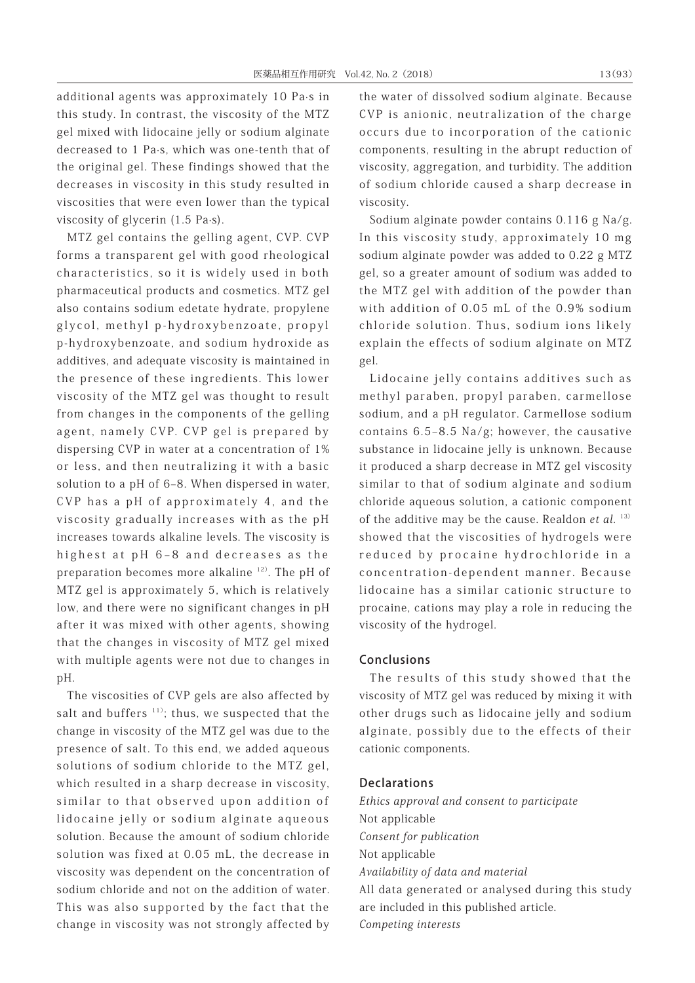additional agents was approximately 10 Pa·s in this study. In contrast, the viscosity of the MTZ gel mixed with lidocaine jelly or sodium alginate decreased to 1 Pa·s, which was one-tenth that of the original gel. These findings showed that the decreases in viscosity in this study resulted in viscosities that were even lower than the typical viscosity of glycerin (1.5 Pa·s).

MTZ gel contains the gelling agent, CVP. CVP forms a transparent gel with good rheological characteristics, so it is widely used in both pharmaceutical products and cosmetics. MTZ gel also contains sodium edetate hydrate, propylene glycol, methyl p-hydroxybenzoate, propyl p-hydroxybenzoate, and sodium hydroxide as additives, and adequate viscosity is maintained in the presence of these ingredients. This lower viscosity of the MTZ gel was thought to result from changes in the components of the gelling agent, namely CVP. CVP gel is prepared by dispersing CVP in water at a concentration of 1% or less, and then neutralizing it with a basic solution to a pH of 6–8. When dispersed in water, CVP has a pH of approximately 4, and the viscosity gradually increases with as the pH increases towards alkaline levels. The viscosity is highest at pH 6-8 and decreases as the preparation becomes more alkaline 12). The pH of MTZ gel is approximately 5, which is relatively low, and there were no significant changes in pH after it was mixed with other agents, showing that the changes in viscosity of MTZ gel mixed with multiple agents were not due to changes in pH.

The viscosities of CVP gels are also affected by salt and buffers  $11$ ); thus, we suspected that the change in viscosity of the MTZ gel was due to the presence of salt. To this end, we added aqueous solutions of sodium chloride to the MTZ gel, which resulted in a sharp decrease in viscosity, similar to that observed upon addition of lidocaine jelly or sodium alginate aqueous solution. Because the amount of sodium chloride solution was fixed at 0.05 mL, the decrease in viscosity was dependent on the concentration of sodium chloride and not on the addition of water. This was also supported by the fact that the change in viscosity was not strongly affected by the water of dissolved sodium alginate. Because CVP is anionic, neutralization of the charge occurs due to incorporation of the cationic components, resulting in the abrupt reduction of viscosity, aggregation, and turbidity. The addition of sodium chloride caused a sharp decrease in viscosity.

Sodium alginate powder contains 0.116 g Na/g. In this viscosity study, approximately 10 mg sodium alginate powder was added to 0.22 g MTZ gel, so a greater amount of sodium was added to the MTZ gel with addition of the powder than with addition of 0.05 mL of the 0.9% sodium chloride solution. Thus, sodium ions likely explain the effects of sodium alginate on MTZ gel.

Lidocaine jelly contains additives such as methyl paraben, propyl paraben, carmellose sodium, and a pH regulator. Carmellose sodium contains  $6.5-8.5$  Na/g; however, the causative substance in lidocaine jelly is unknown. Because it produced a sharp decrease in MTZ gel viscosity similar to that of sodium alginate and sodium chloride aqueous solution, a cationic component of the additive may be the cause. Realdon et al.  $13)$ showed that the viscosities of hydrogels were reduced by procaine hydrochloride in a concentration-dependent manner. Because lidocaine has a similar cationic structure to procaine, cations may play a role in reducing the viscosity of the hydrogel.

#### Conclusions

The results of this study showed that the viscosity of MTZ gel was reduced by mixing it with other drugs such as lidocaine jelly and sodium alginate, possibly due to the effects of their cationic components.

#### Declarations

Ethics approval and consent to participate Not applicable Consent for publication Not applicable Availability of data and material All data generated or analysed during this study are included in this published article. Competing interests